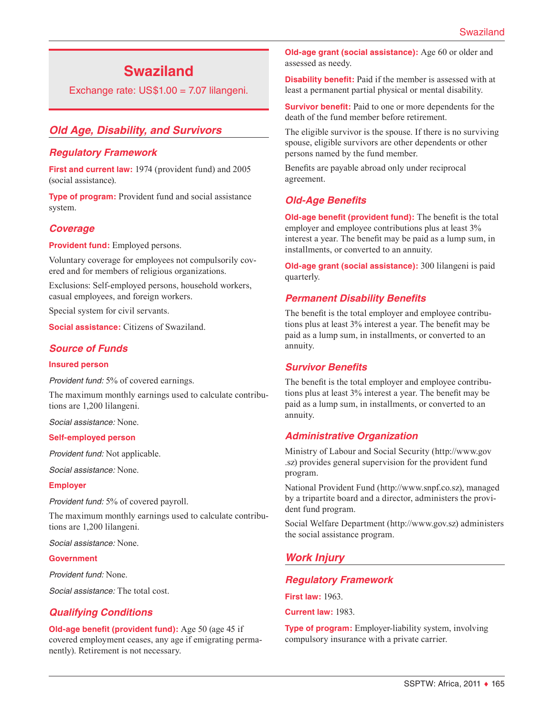# **Swaziland**

Exchange rate: US\$1.00 = 7.07 lilangeni.

# *Old Age, Disability, and Survivors*

#### *Regulatory Framework*

**First and current law:** 1974 (provident fund) and 2005 (social assistance).

**Type of program:** Provident fund and social assistance system.

## *Coverage*

**Provident fund:** Employed persons.

Voluntary coverage for employees not compulsorily covered and for members of religious organizations.

Exclusions: Self-employed persons, household workers, casual employees, and foreign workers.

Special system for civil servants.

**Social assistance:** Citizens of Swaziland.

## *Source of Funds*

#### **Insured person**

*Provident fund:* 5% of covered earnings.

The maximum monthly earnings used to calculate contributions are 1,200 lilangeni.

*Social assistance:* None.

#### **Self-employed person**

*Provident fund:* Not applicable.

*Social assistance:* None.

#### **Employer**

*Provident fund:* 5% of covered payroll.

The maximum monthly earnings used to calculate contributions are 1,200 lilangeni.

*Social assistance:* None.

#### **Government**

*Provident fund:* None.

*Social assistance:* The total cost.

#### *Qualifying Conditions*

**Old-age benefit (provident fund):** Age 50 (age 45 if covered employment ceases, any age if emigrating permanently). Retirement is not necessary.

**Old-age grant (social assistance):** Age 60 or older and assessed as needy.

**Disability benefit:** Paid if the member is assessed with at least a permanent partial physical or mental disability.

**Survivor benefit:** Paid to one or more dependents for the death of the fund member before retirement.

The eligible survivor is the spouse. If there is no surviving spouse, eligible survivors are other dependents or other persons named by the fund member.

Benefits are payable abroad only under reciprocal agreement.

# *Old-Age Benefits*

**Old-age benefit (provident fund):** The benefit is the total employer and employee contributions plus at least 3% interest a year. The benefit may be paid as a lump sum, in installments, or converted to an annuity.

**Old-age grant (social assistance):** 300 lilangeni is paid quarterly.

#### *Permanent Disability Benefits*

The benefit is the total employer and employee contributions plus at least 3% interest a year. The benefit may be paid as a lump sum, in installments, or converted to an annuity.

#### *Survivor Benefits*

The benefit is the total employer and employee contributions plus at least 3% interest a year. The benefit may be paid as a lump sum, in installments, or converted to an annuity.

#### *Administrative Organization*

Ministry of Labour and Social Security ([http://www.gov](http://www.gov.sz) [.sz](http://www.gov.sz)) provides general supervision for the provident fund program.

National Provident Fund [\(http://www.snpf.co.sz](http://www.snpf.co.sz)), managed by a tripartite board and a director, administers the provident fund program.

Social Welfare Department [\(http://www.gov.sz\)](http://www.gov.sz) administers the social assistance program.

# *Work Injury*

#### *Regulatory Framework*

**First law:** 1963.

**Current law:** 1983.

**Type of program:** Employer-liability system, involving compulsory insurance with a private carrier.